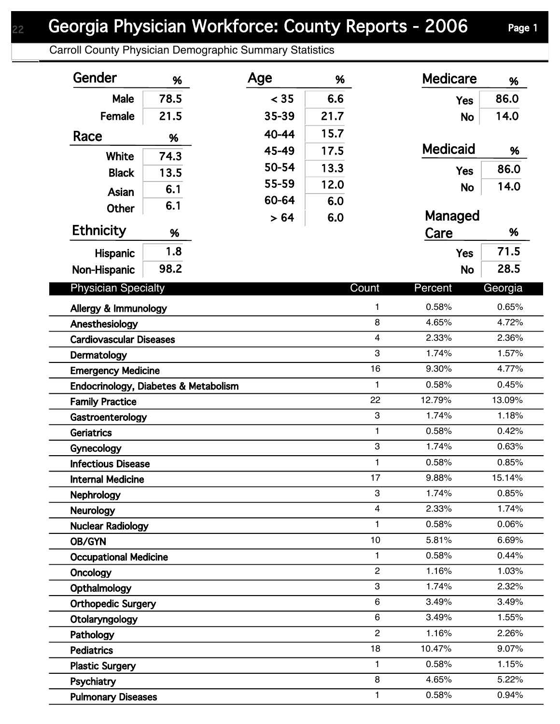## Georgia Physician Workforce: County Reports - 2006 Page 1

Carroll County Physician Demographic Summary Statistics

| Gender                               | %    | Age   | %    |                         | <b>Medicare</b> | %              |
|--------------------------------------|------|-------|------|-------------------------|-----------------|----------------|
| Male                                 | 78.5 | < 35  | 6.6  |                         | <b>Yes</b>      | 86.0           |
| Female                               | 21.5 | 35-39 | 21.7 |                         | <b>No</b>       | 14.0           |
| Race                                 | %    | 40-44 | 15.7 |                         |                 |                |
|                                      |      | 45-49 | 17.5 |                         | <b>Medicaid</b> | %              |
| White                                | 74.3 | 50-54 | 13.3 |                         |                 | 86.0           |
| <b>Black</b>                         | 13.5 | 55-59 | 12.0 |                         | <b>Yes</b>      | 14.0           |
| Asian                                | 6.1  | 60-64 | 6.0  |                         | <b>No</b>       |                |
| Other                                | 6.1  | > 64  | 6.0  |                         | Managed         |                |
| <b>Ethnicity</b>                     | %    |       |      |                         | Care            | %              |
| <b>Hispanic</b>                      | 1.8  |       |      |                         | <b>Yes</b>      | 71.5           |
| Non-Hispanic                         | 98.2 |       |      |                         | <b>No</b>       | 28.5           |
|                                      |      |       |      |                         |                 |                |
| <b>Physician Specialty</b>           |      |       |      | Count                   | Percent         | Georgia        |
| Allergy & Immunology                 |      |       |      | $\mathbf{1}$            | 0.58%           | 0.65%          |
| Anesthesiology                       |      |       |      | 8                       | 4.65%           | 4.72%          |
| <b>Cardiovascular Diseases</b>       |      |       |      | $\overline{\mathbf{4}}$ | 2.33%           | 2.36%          |
| Dermatology                          |      |       |      | 3                       | 1.74%           | 1.57%          |
| <b>Emergency Medicine</b>            |      |       |      | 16                      | 9.30%           | 4.77%          |
| Endocrinology, Diabetes & Metabolism |      |       |      | $\mathbf{1}$            | 0.58%           | 0.45%          |
| <b>Family Practice</b>               |      |       |      | 22                      | 12.79%          | 13.09%         |
| Gastroenterology                     |      |       |      | 3                       | 1.74%           | 1.18%          |
| Geriatrics                           |      |       |      | $\mathbf{1}$            | 0.58%           | 0.42%          |
| Gynecology                           |      |       |      | 3                       | 1.74%           | 0.63%          |
| <b>Infectious Disease</b>            |      |       |      | $\mathbf{1}$            | 0.58%           | 0.85%          |
| <b>Internal Medicine</b>             |      |       |      | 17                      | 9.88%           | 15.14%         |
| <b>Nephrology</b>                    |      |       |      | 3<br>$\overline{4}$     | 1.74%<br>2.33%  | 0.85%<br>1.74% |
| <b>Neurology</b>                     |      |       |      | 1                       | 0.58%           | 0.06%          |
| <b>Nuclear Radiology</b>             |      |       |      | 10                      | 5.81%           | 6.69%          |
| OB/GYN                               |      |       |      | $\mathbf{1}$            | 0.58%           | 0.44%          |
| <b>Occupational Medicine</b>         |      |       |      | $\overline{c}$          | 1.16%           | 1.03%          |
| Oncology                             |      |       |      | 3                       | 1.74%           | 2.32%          |
| Opthalmology                         |      |       |      | 6                       | 3.49%           | 3.49%          |
| <b>Orthopedic Surgery</b>            |      |       |      | 6                       | 3.49%           | 1.55%          |
| Otolaryngology                       |      |       |      | $\overline{2}$          | 1.16%           | 2.26%          |
| Pathology<br><b>Pediatrics</b>       |      |       |      | 18                      | 10.47%          | 9.07%          |
| <b>Plastic Surgery</b>               |      |       |      | $\mathbf{1}$            | 0.58%           | 1.15%          |
| Psychiatry                           |      |       |      | 8                       | 4.65%           | 5.22%          |
| <b>Pulmonary Diseases</b>            |      |       |      | 1                       | 0.58%           | 0.94%          |
|                                      |      |       |      |                         |                 |                |